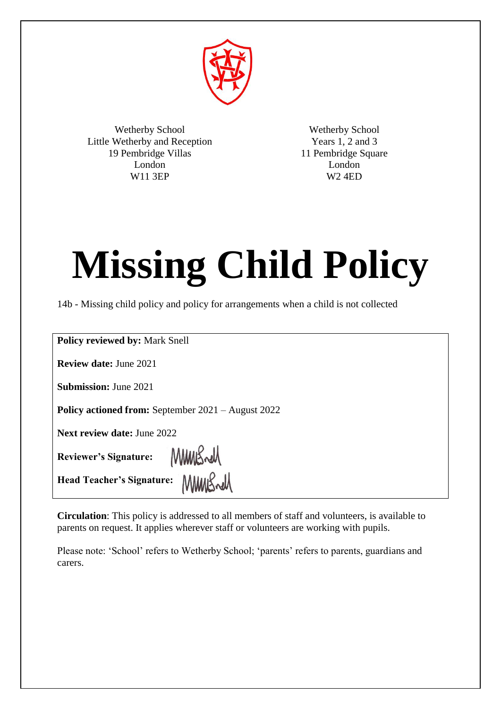

Wetherby School Little Wetherby and Reception 19 Pembridge Villas London W11 3EP

Wetherby School Years 1, 2 and 3 11 Pembridge Square London W2 4ED

# **Missing Child Policy**

14b - Missing child policy and policy for arrangements when a child is not collected

**Policy reviewed by:** Mark Snell

**Review date:** June 2021

**Submission:** June 2021

**Policy actioned from:** September 2021 – August 2022

MMBrell

**Next review date:** June 2022

**Reviewer's Signature:**

**Head Teacher's Signature:** MMMSwM

**Circulation**: This policy is addressed to all members of staff and volunteers, is available to parents on request. It applies wherever staff or volunteers are working with pupils.

Please note: 'School' refers to Wetherby School; 'parents' refers to parents, guardians and carers.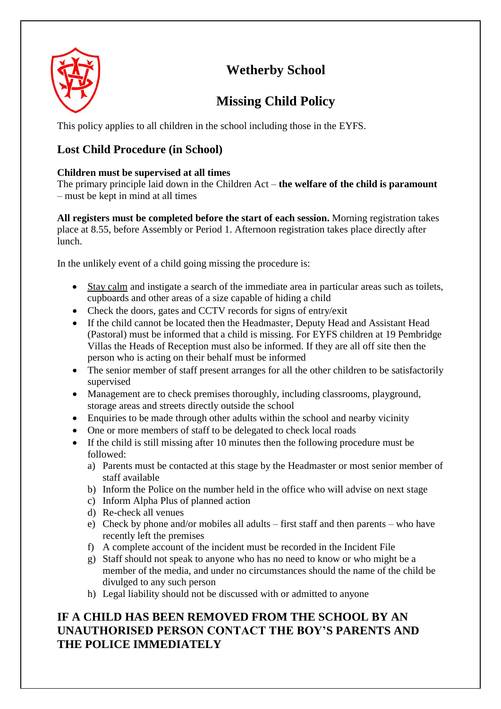

# **Wetherby School**

# **Missing Child Policy**

This policy applies to all children in the school including those in the EYFS.

## **Lost Child Procedure (in School)**

#### **Children must be supervised at all times**

The primary principle laid down in the Children Act – **the welfare of the child is paramount**  – must be kept in mind at all times

**All registers must be completed before the start of each session.** Morning registration takes place at 8.55, before Assembly or Period 1. Afternoon registration takes place directly after lunch.

In the unlikely event of a child going missing the procedure is:

- Stay calm and instigate a search of the immediate area in particular areas such as toilets, cupboards and other areas of a size capable of hiding a child
- Check the doors, gates and CCTV records for signs of entry/exit
- If the child cannot be located then the Headmaster, Deputy Head and Assistant Head (Pastoral) must be informed that a child is missing. For EYFS children at 19 Pembridge Villas the Heads of Reception must also be informed. If they are all off site then the person who is acting on their behalf must be informed
- The senior member of staff present arranges for all the other children to be satisfactorily supervised
- Management are to check premises thoroughly, including classrooms, playground, storage areas and streets directly outside the school
- Enquiries to be made through other adults within the school and nearby vicinity
- One or more members of staff to be delegated to check local roads
- If the child is still missing after 10 minutes then the following procedure must be followed:
	- a) Parents must be contacted at this stage by the Headmaster or most senior member of staff available
	- b) Inform the Police on the number held in the office who will advise on next stage
	- c) Inform Alpha Plus of planned action
	- d) Re-check all venues
	- e) Check by phone and/or mobiles all adults first staff and then parents who have recently left the premises
	- f) A complete account of the incident must be recorded in the Incident File
	- g) Staff should not speak to anyone who has no need to know or who might be a member of the media, and under no circumstances should the name of the child be divulged to any such person
	- h) Legal liability should not be discussed with or admitted to anyone

### **IF A CHILD HAS BEEN REMOVED FROM THE SCHOOL BY AN UNAUTHORISED PERSON CONTACT THE BOY'S PARENTS AND THE POLICE IMMEDIATELY**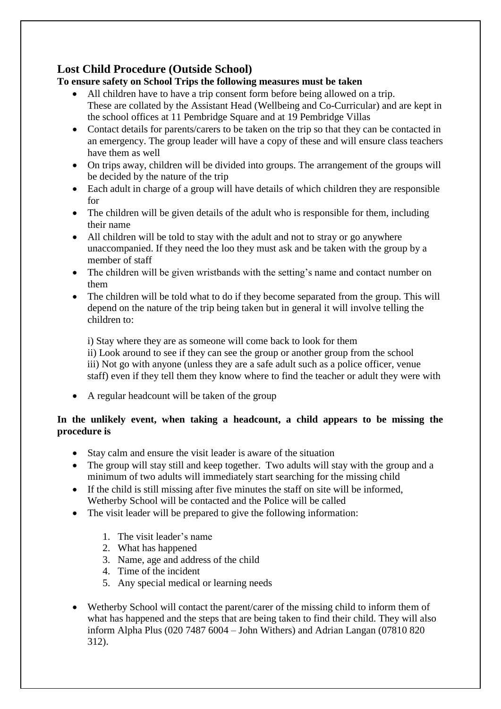#### **Lost Child Procedure (Outside School)**

#### **To ensure safety on School Trips the following measures must be taken**

- All children have to have a trip consent form before being allowed on a trip. These are collated by the Assistant Head (Wellbeing and Co-Curricular) and are kept in the school offices at 11 Pembridge Square and at 19 Pembridge Villas
- Contact details for parents/carers to be taken on the trip so that they can be contacted in an emergency. The group leader will have a copy of these and will ensure class teachers have them as well
- On trips away, children will be divided into groups. The arrangement of the groups will be decided by the nature of the trip
- Each adult in charge of a group will have details of which children they are responsible for
- The children will be given details of the adult who is responsible for them, including their name
- All children will be told to stay with the adult and not to stray or go anywhere unaccompanied. If they need the loo they must ask and be taken with the group by a member of staff
- The children will be given wristbands with the setting's name and contact number on them
- The children will be told what to do if they become separated from the group. This will depend on the nature of the trip being taken but in general it will involve telling the children to:

i) Stay where they are as someone will come back to look for them ii) Look around to see if they can see the group or another group from the school iii) Not go with anyone (unless they are a safe adult such as a police officer, venue staff) even if they tell them they know where to find the teacher or adult they were with

A regular headcount will be taken of the group

#### **In the unlikely event, when taking a headcount, a child appears to be missing the procedure is**

- Stay calm and ensure the visit leader is aware of the situation
- The group will stay still and keep together. Two adults will stay with the group and a minimum of two adults will immediately start searching for the missing child
- If the child is still missing after five minutes the staff on site will be informed, Wetherby School will be contacted and the Police will be called
- The visit leader will be prepared to give the following information:
	- 1. The visit leader's name
	- 2. What has happened
	- 3. Name, age and address of the child
	- 4. Time of the incident
	- 5. Any special medical or learning needs
- Wetherby School will contact the parent/carer of the missing child to inform them of what has happened and the steps that are being taken to find their child. They will also inform Alpha Plus (020 7487 6004 – John Withers) and Adrian Langan (07810 820 312).